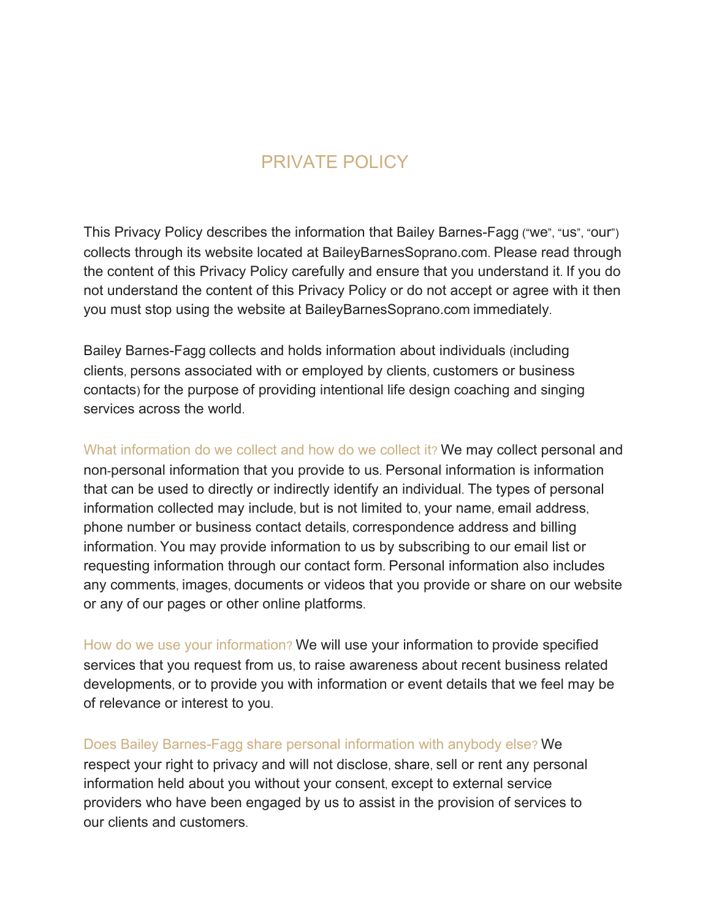## PRIVATE POLICY

This Privacy Policy describes the information that Bailey Barnes-Fagg ("we", "us", "our") collects through its website located at BaileyBarnesSoprano.com. Please read through the content of this Privacy Policy carefully and ensure that you understand it. If you do not understand the content of this Privacy Policy or do not accept or agree with it then you must stop using the website at BaileyBarnesSoprano.com immediately.

Bailey Barnes-Fagg collects and holds information about individuals (including clients, persons associated with or employed by clients, customers or business contacts) for the purpose of providing intentional life design coaching and singing services across the world.

What information do we collect and how do we collect it? We may collect personal and non-personal information that you provide to us. Personal information is information that can be used to directly or indirectly identify an individual. The types of personal information collected may include, but is not limited to, your name, email address, phone number or business contact details, correspondence address and billing information. You may provide information to us by subscribing to our email list or requesting information through our contact form. Personal information also includes any comments, images, documents or videos that you provide or share on our website or any of our pages or other online platforms.

How do we use your information? We will use your information to provide specified services that you request from us, to raise awareness about recent business related developments, or to provide you with information or event details that we feel may be of relevance or interest to you.

Does Bailey Barnes-Fagg share personal information with anybody else? We respect your right to privacy and will not disclose, share, sell or rent any personal information held about you without your consent, except to external service providers who have been engaged by us to assist in the provision of services to our clients and customers.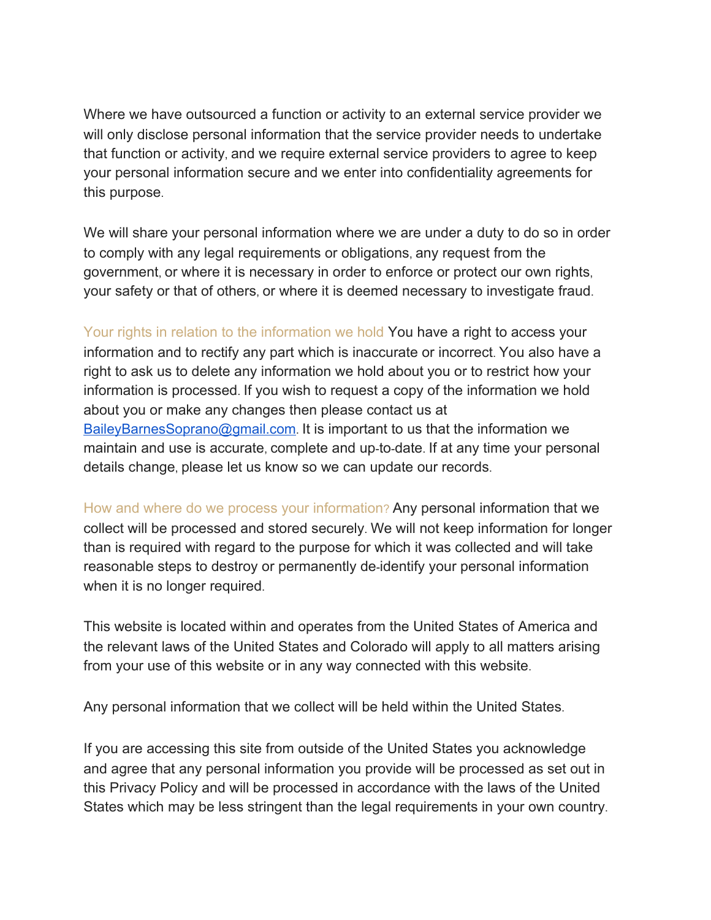Where we have outsourced a function or activity to an external service provider we will only disclose personal information that the service provider needs to undertake that function or activity, and we require external service providers to agree to keep your personal information secure and we enter into confidentiality agreements for this purpose.

We will share your personal information where we are under a duty to do so in order to comply with any legal requirements or obligations, any request from the government, or where it is necessary in order to enforce or protect our own rights, your safety or that of others, or where it is deemed necessary to investigate fraud.

Your rights in relation to the information we hold You have a right to access your information and to rectify any part which is inaccurate or incorrect. You also have a right to ask us to delete any information we hold about you or to restrict how your information is processed. If you wish to request a copy of the information we hold about you or make any changes then please contact us at [BaileyBarnesSoprano@gmail.com](mailto:BaileyBarnesSoprano@gmail.com). It is important to us that the information we maintain and use is accurate, complete and up-to-date. If at any time your personal details change, please let us know so we can update our records.

How and where do we process your information? Any personal information that we collect will be processed and stored securely. We will not keep information for longer than is required with regard to the purpose for which it was collected and will take reasonable steps to destroy or permanently de-identify your personal information when it is no longer required.

This website is located within and operates from the United States of America and the relevant laws of the United States and Colorado will apply to all matters arising from your use of this website or in any way connected with this website.

Any personal information that we collect will be held within the United States.

If you are accessing this site from outside of the United States you acknowledge and agree that any personal information you provide will be processed as set out in this Privacy Policy and will be processed in accordance with the laws of the United States which may be less stringent than the legal requirements in your own country.